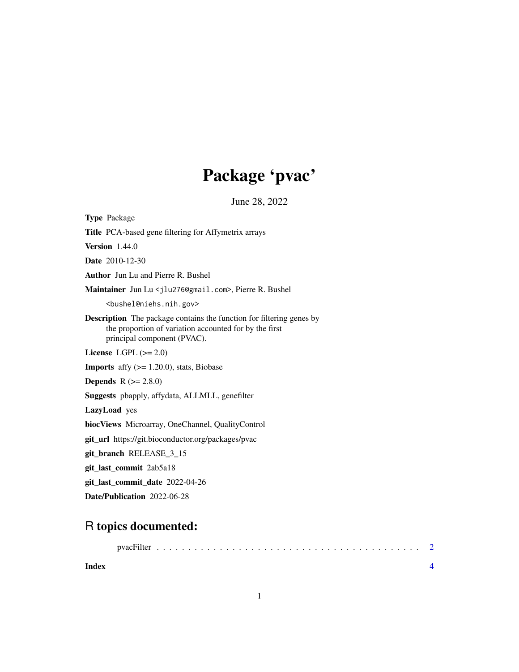## Package 'pvac'

June 28, 2022

Title PCA-based gene filtering for Affymetrix arrays Version 1.44.0 Date 2010-12-30 Author Jun Lu and Pierre R. Bushel Maintainer Jun Lu <jlu276@gmail.com>, Pierre R. Bushel <bushel@niehs.nih.gov> Description The package contains the function for filtering genes by the proportion of variation accounted for by the first principal component (PVAC). License LGPL  $(>= 2.0)$ **Imports** affy  $(>= 1.20.0)$ , stats, Biobase **Depends**  $R (= 2.8.0)$ Suggests pbapply, affydata, ALLMLL, genefilter LazyLoad yes biocViews Microarray, OneChannel, QualityControl git\_url https://git.bioconductor.org/packages/pvac git\_branch RELEASE\_3\_15 git\_last\_commit 2ab5a18 git\_last\_commit\_date 2022-04-26 Date/Publication 2022-06-28

### R topics documented:

<span id="page-0-0"></span>Type Package

| Index |  |  |  |  |  |  |  |  |  |  |  |  |  |  |  |  |  |  |
|-------|--|--|--|--|--|--|--|--|--|--|--|--|--|--|--|--|--|--|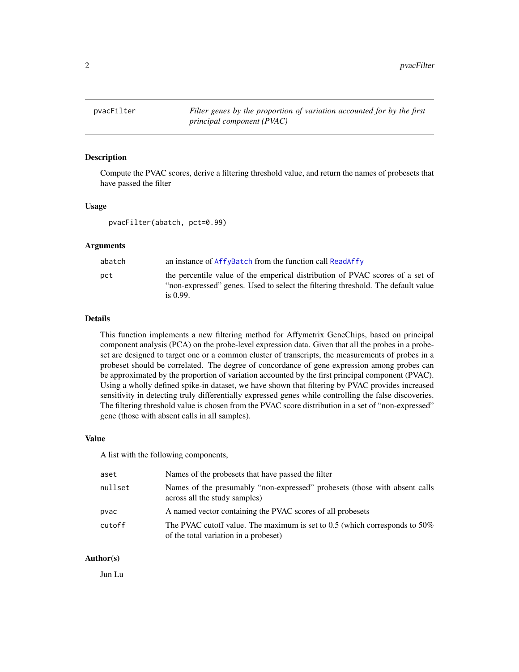<span id="page-1-0"></span>pvacFilter *Filter genes by the proportion of variation accounted for by the first principal component (PVAC)*

#### Description

Compute the PVAC scores, derive a filtering threshold value, and return the names of probesets that have passed the filter

#### Usage

pvacFilter(abatch, pct=0.99)

#### Arguments

| abatch | an instance of AffyBatch from the function call ReadAffy                                                                                                          |
|--------|-------------------------------------------------------------------------------------------------------------------------------------------------------------------|
| pct    | the percentile value of the emperical distribution of PVAC scores of a set of<br>"non-expressed" genes. Used to select the filtering threshold. The default value |
|        | is $0.99$ .                                                                                                                                                       |

#### Details

This function implements a new filtering method for Affymetrix GeneChips, based on principal component analysis (PCA) on the probe-level expression data. Given that all the probes in a probeset are designed to target one or a common cluster of transcripts, the measurements of probes in a probeset should be correlated. The degree of concordance of gene expression among probes can be approximated by the proportion of variation accounted by the first principal component (PVAC). Using a wholly defined spike-in dataset, we have shown that filtering by PVAC provides increased sensitivity in detecting truly differentially expressed genes while controlling the false discoveries. The filtering threshold value is chosen from the PVAC score distribution in a set of "non-expressed" gene (those with absent calls in all samples).

#### Value

A list with the following components,

| aset    | Names of the probesets that have passed the filter                                                                         |
|---------|----------------------------------------------------------------------------------------------------------------------------|
| nullset | Names of the presumably "non-expressed" probesets (those with absent calls<br>across all the study samples)                |
| pvac    | A named vector containing the PVAC scores of all probesets                                                                 |
| cutoff  | The PVAC cutoff value. The maximum is set to $0.5$ (which corresponds to $50\%$ )<br>of the total variation in a probeset) |

#### Author(s)

Jun Lu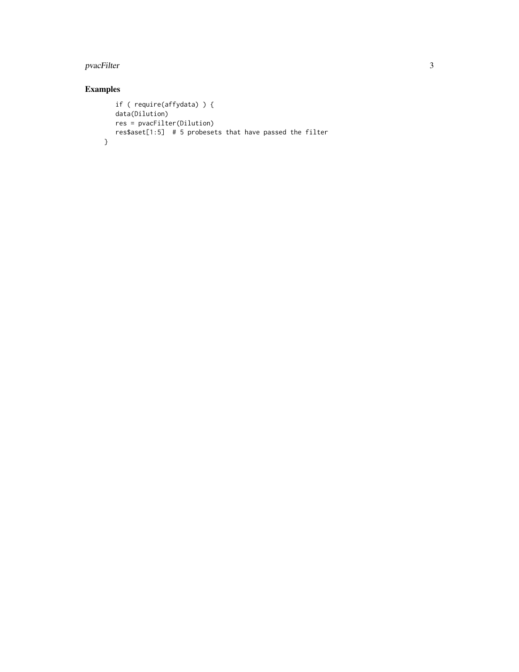#### pvacFilter 3

#### Examples

```
if ( require(affydata) ) {
  data(Dilution)
  res = pvacFilter(Dilution)
  res$aset[1:5] # 5 probesets that have passed the filter
}
```